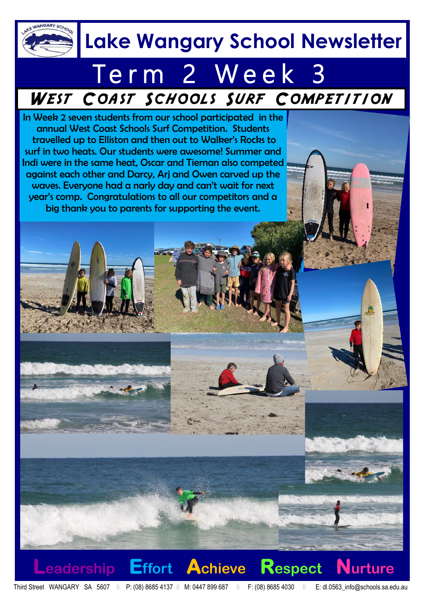

### **Lake Wangary School Newsletter**

### Term 2 Week 3 WEST COAST SCHOOLS SURF COMPETITION

In Week 2 seven students from our school participated in the annual West Coast Schools Surf Competition. Students travelled up to Elliston and then out to Walker's Rocks to surf in two heats. Our students were awesome! Summer and Indi were in the same heat, Oscar and Tiernan also competed against each other and Darcy, Arj and Owen carved up the waves. Everyone had a narly day and can't wait for next year's comp. Congratulations to all our competitors and a big thank you to parents for supporting the event.

**Leadership Effort Achieve Respect Nurture**

Third Street WANGARY SA 5607 II P: (08) 8685 4137 II M: 0447 899 687 II F: (08) 8685 4030 II E: dl.0563 info@schools.sa.edu.au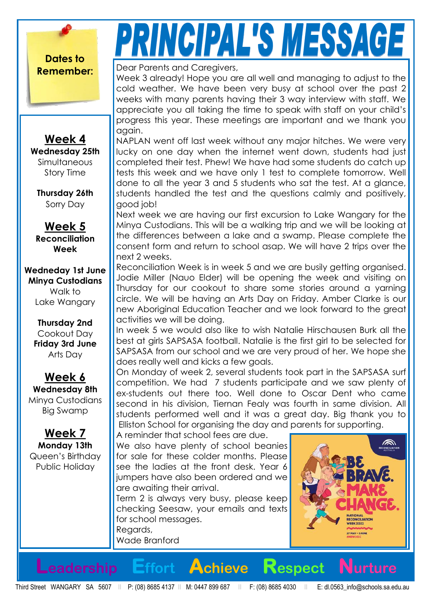**Dates to** 

# PRINCIPAL'S MESSAGE

**Remember: Dear Parents and Caregivers,** 

Week 3 already! Hope you are all well and managing to adjust to the cold weather. We have been very busy at school over the past 2 weeks with many parents having their 3 way interview with staff. We appreciate you all taking the time to speak with staff on your child's progress this year. These meetings are important and we thank you again.

NAPLAN went off last week without any major hitches. We were very lucky on one day when the internet went down, students had just completed their test. Phew! We have had some students do catch up tests this week and we have only 1 test to complete tomorrow. Well done to all the year 3 and 5 students who sat the test. At a glance, students handled the test and the questions calmly and positively, good job!

Next week we are having our first excursion to Lake Wangary for the Minya Custodians. This will be a walking trip and we will be looking at the differences between a lake and a swamp. Please complete the consent form and return to school asap. We will have 2 trips over the next 2 weeks.

Reconciliation Week is in week 5 and we are busily getting organised. Jodie Miller (Nauo Elder) will be opening the week and visiting on Thursday for our cookout to share some stories around a yarning circle. We will be having an Arts Day on Friday. Amber Clarke is our new Aboriginal Education Teacher and we look forward to the great activities we will be doing.

In week 5 we would also like to wish Natalie Hirschausen Burk all the best at girls SAPSASA football. Natalie is the first girl to be selected for SAPSASA from our school and we are very proud of her. We hope she does really well and kicks a few goals.

On Monday of week 2, several students took part in the SAPSASA surf competition. We had 7 students participate and we saw plenty of ex-students out there too. Well done to Oscar Dent who came second in his division, Tiernan Fealy was fourth in same division. All students performed well and it was a great day. Big thank you to Elliston School for organising the day and parents for supporting.

A reminder that school fees are due.

We also have plenty of school beanies for sale for these colder months. Please see the ladies at the front desk. Year 6 jumpers have also been ordered and we are awaiting their arrival.

Term 2 is always very busy, please keep checking Seesaw, your emails and texts for school messages.

**Leadership Effort Achieve Respect Nurture**

Regards, Wade Branford



**Wednesday 25th** Simultaneous Story Time

**Week 4**

**Thursday 26th** Sorry Day

**Week 5 Reconciliation Week**

**Wedneday 1st June Minya Custodians**

Walk to Lake Wangary

**Thursday 2nd** Cookout Day **Friday 3rd June** Arts Day

**Week 6 Wednesday 8th** Minya Custodians Big Swamp

**Week 7 Monday 13th** Queen's Birthday Public Holiday

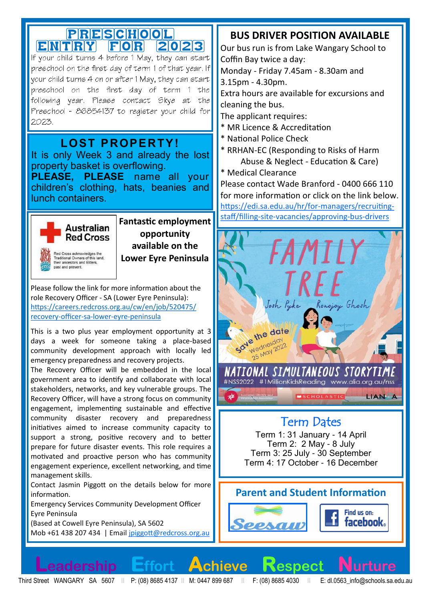## PRESCHOOL<br>ENTRY FOR 2023

If your child turns 4 before 1 May, they can start preachool on the firat day of term 1 of that year. If your child turns 4 on or after 1 May, they can start preschool on the first day of term 1 the following year. Please contact Skye at the Preschool - 86854137 to register your child for 2023.

#### **LOST PROPERTY!**

It is only Week 3 and already the lost property basket is overflowing.

**PLEASE, PLEASE** name all your children's clothing, hats, beanies and lunch containers.



st and present

**Fantastic employment opportunity available on the Lower Eyre Peninsula**

Please follow the link for more information about the role Recovery Officer - SA (Lower Eyre Peninsula): [https://careers.redcross.org.au/cw/en/job/520475/](https://nam04.safelinks.protection.outlook.com/?url=https%3A%2F%2Fcareers.redcross.org.au%2Fcw%2Fen%2Fjob%2F520475%2Frecovery-officer-sa-lower-eyre-peninsula&data=05%7C01%7CDanielle.Morgan134%40schools.sa.edu.au%7C65ef918bf45b41fa933608da37a3d165%7C73bbf4e906) recovery-officer-sa-lower-eyre-[peninsula](https://nam04.safelinks.protection.outlook.com/?url=https%3A%2F%2Fcareers.redcross.org.au%2Fcw%2Fen%2Fjob%2F520475%2Frecovery-officer-sa-lower-eyre-peninsula&data=05%7C01%7CDanielle.Morgan134%40schools.sa.edu.au%7C65ef918bf45b41fa933608da37a3d165%7C73bbf4e906)

This is a two plus year employment opportunity at 3 days a week for someone taking a place-based community development approach with locally led emergency preparedness and recovery projects.

The Recovery Officer will be embedded in the local government area to identify and collaborate with local stakeholders, networks, and key vulnerable groups. The Recovery Officer, will have a strong focus on community engagement, implementing sustainable and effective community disaster recovery and preparedness initiatives aimed to increase community capacity to support a strong, positive recovery and to better prepare for future disaster events. This role requires a motivated and proactive person who has community engagement experience, excellent networking, and time management skills.

Contact Jasmin Piggott on the details below for more information.

Emergency Services Community Development Officer Eyre Peninsula (Based at Cowell Eyre Peninsula), SA 5602

Mob +61 438 207 434 | Email [jpiggott@redcross.org.au](mailto:jpiggott@redcross.org.au)

#### **BUS DRIVER POSITION AVAILABLE**

Our bus run is from Lake Wangary School to Coffin Bay twice a day:

Monday - Friday 7.45am - 8.30am and 3.15pm - 4.30pm.

Extra hours are available for excursions and cleaning the bus.

The applicant requires:

- \* MR Licence & Accreditation
- \* National Police Check
- \* RRHAN-EC (Responding to Risks of Harm Abuse & Neglect - Education & Care)
- \* Medical Clearance

Please contact Wade Branford - 0400 666 110 for more information or click on the link below. [https://edi.sa.edu.au/hr/for](https://edi.sa.edu.au/hr/for-managers/recruiting-staff/filling-site-vacancies/approving-bus-drivers)-managers/recruitingstaff/filling-site-[vacancies/approving](https://edi.sa.edu.au/hr/for-managers/recruiting-staff/filling-site-vacancies/approving-bus-drivers)-bus-drivers



#### Term Dates

Term 1: 31 January - 14 April Term 2: 2 May - 8 July Term 3: 25 July - 30 September Term 4: 17 October - 16 December

#### **Parent and Student Information**



Third Street WANGARY SA 5607 II P: (08) 8685 4137 II M: 0447 899 687 II F: (08) 8685 4030 II E: dl.0563\_info@schools.sa.edu.au

**Leadership Effort Achieve Respect**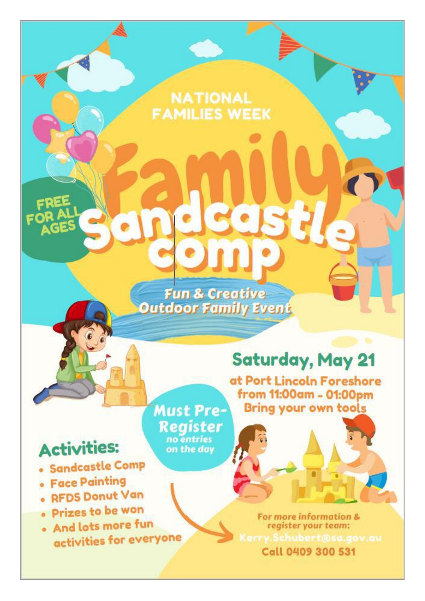### **NATIONAL FAMILIES WEEK**

**Fun & Creative Outdoor Family Event** 

no entries

on the day

### **Saturday, May 21**

at Port Lincoln Foreshore from 11:00am - 01:00pm **Bring your own tools** 

### **Activities:**

- · Sandcastle Comp
- · Face Painting
- RFDS Donut Van
- · Prizes to be won
- · And lots more fun activities for everyone

**Must Pre-Register** 

> For more information & register your team: Call 0409 300 531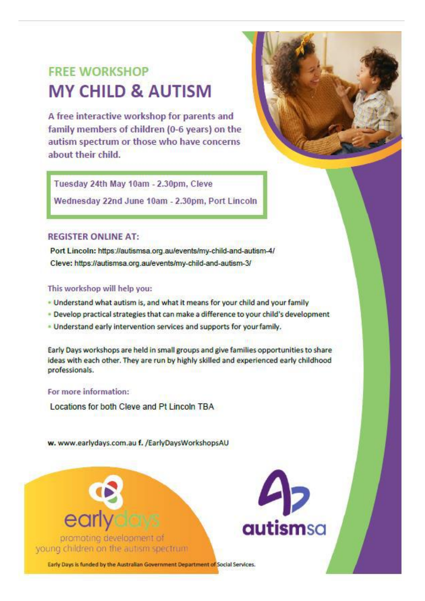### **FRFF WORKSHOP MY CHILD & AUTISM**

A free interactive workshop for parents and family members of children (0-6 years) on the autism spectrum or those who have concerns about their child.



Wednesday 22nd June 10am - 2.30pm, Port Lincoln

#### **REGISTER ONLINE AT:**

Port Lincoln: https://autismsa.org.au/events/my-child-and-autism-4/ Cleve: https://autismsa.org.au/events/my-child-and-autism-3/

#### This workshop will help you:

- . Understand what autism is, and what it means for your child and your family
- . Develop practical strategies that can make a difference to your child's development
- . Understand early intervention services and supports for your family.

Early Days workshops are held in small groups and give families opportunities to share ideas with each other. They are run by highly skilled and experienced early childhood professionals.

#### For more information:

Locations for both Cleve and Pt Lincoln TBA

w. www.earlydays.com.au f. /EarlyDaysWorkshopsAU



promoting development of young children on the autism spectrum.



Early Days is funded by the Australian Government Department of Social Services.